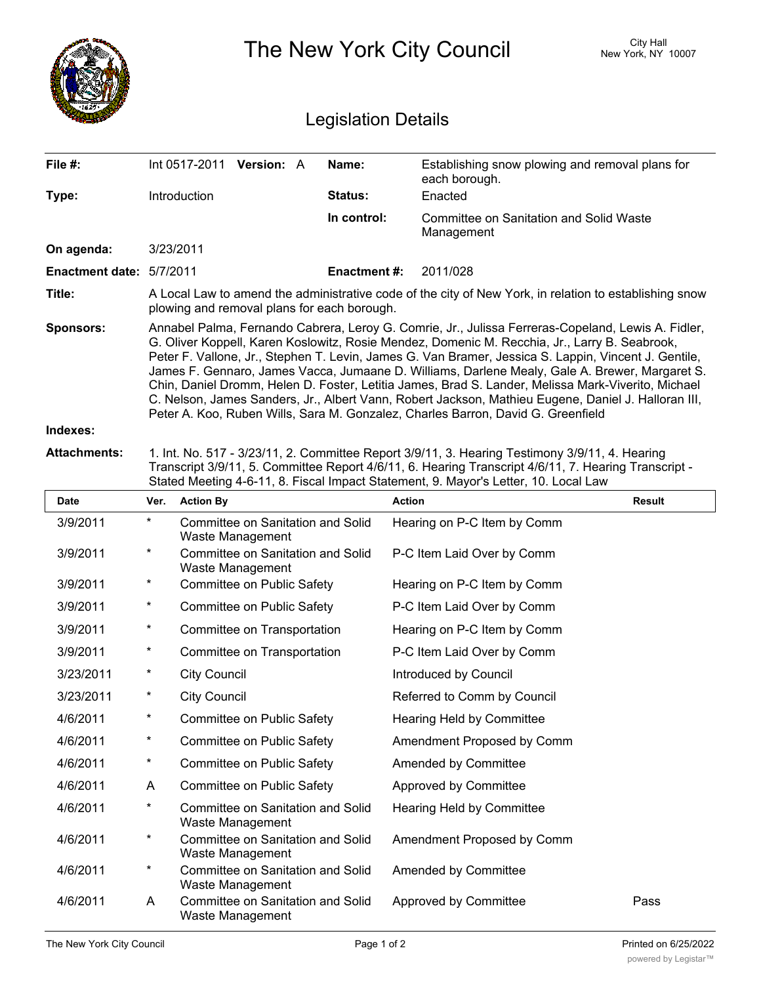|                                                                                                                                                                                                                                                                                                                      | City Hall<br>The New York City Council<br>New York, NY 10007                                                                                                                                                                                                                                                                                                                                                                                                                                                                                                                                                                                                                                                   |                                                              |                    |                                                                  |               |
|----------------------------------------------------------------------------------------------------------------------------------------------------------------------------------------------------------------------------------------------------------------------------------------------------------------------|----------------------------------------------------------------------------------------------------------------------------------------------------------------------------------------------------------------------------------------------------------------------------------------------------------------------------------------------------------------------------------------------------------------------------------------------------------------------------------------------------------------------------------------------------------------------------------------------------------------------------------------------------------------------------------------------------------------|--------------------------------------------------------------|--------------------|------------------------------------------------------------------|---------------|
| <b>Legislation Details</b>                                                                                                                                                                                                                                                                                           |                                                                                                                                                                                                                                                                                                                                                                                                                                                                                                                                                                                                                                                                                                                |                                                              |                    |                                                                  |               |
| File #:                                                                                                                                                                                                                                                                                                              |                                                                                                                                                                                                                                                                                                                                                                                                                                                                                                                                                                                                                                                                                                                | Int 0517-2011 Version: A                                     | Name:              | Establishing snow plowing and removal plans for<br>each borough. |               |
| Type:                                                                                                                                                                                                                                                                                                                |                                                                                                                                                                                                                                                                                                                                                                                                                                                                                                                                                                                                                                                                                                                | Introduction                                                 | Status:            | Enacted                                                          |               |
|                                                                                                                                                                                                                                                                                                                      |                                                                                                                                                                                                                                                                                                                                                                                                                                                                                                                                                                                                                                                                                                                |                                                              | In control:        | <b>Committee on Sanitation and Solid Waste</b>                   |               |
| On agenda:                                                                                                                                                                                                                                                                                                           |                                                                                                                                                                                                                                                                                                                                                                                                                                                                                                                                                                                                                                                                                                                | 3/23/2011                                                    |                    | Management                                                       |               |
| Enactment date: 5/7/2011                                                                                                                                                                                                                                                                                             |                                                                                                                                                                                                                                                                                                                                                                                                                                                                                                                                                                                                                                                                                                                |                                                              | <b>Enactment#:</b> | 2011/028                                                         |               |
| Title:                                                                                                                                                                                                                                                                                                               | A Local Law to amend the administrative code of the city of New York, in relation to establishing snow<br>plowing and removal plans for each borough.                                                                                                                                                                                                                                                                                                                                                                                                                                                                                                                                                          |                                                              |                    |                                                                  |               |
| <b>Sponsors:</b>                                                                                                                                                                                                                                                                                                     | Annabel Palma, Fernando Cabrera, Leroy G. Comrie, Jr., Julissa Ferreras-Copeland, Lewis A. Fidler,<br>G. Oliver Koppell, Karen Koslowitz, Rosie Mendez, Domenic M. Recchia, Jr., Larry B. Seabrook,<br>Peter F. Vallone, Jr., Stephen T. Levin, James G. Van Bramer, Jessica S. Lappin, Vincent J. Gentile,<br>James F. Gennaro, James Vacca, Jumaane D. Williams, Darlene Mealy, Gale A. Brewer, Margaret S.<br>Chin, Daniel Dromm, Helen D. Foster, Letitia James, Brad S. Lander, Melissa Mark-Viverito, Michael<br>C. Nelson, James Sanders, Jr., Albert Vann, Robert Jackson, Mathieu Eugene, Daniel J. Halloran III,<br>Peter A. Koo, Ruben Wills, Sara M. Gonzalez, Charles Barron, David G. Greenfield |                                                              |                    |                                                                  |               |
| Indexes:                                                                                                                                                                                                                                                                                                             |                                                                                                                                                                                                                                                                                                                                                                                                                                                                                                                                                                                                                                                                                                                |                                                              |                    |                                                                  |               |
| <b>Attachments:</b><br>1. Int. No. 517 - 3/23/11, 2. Committee Report 3/9/11, 3. Hearing Testimony 3/9/11, 4. Hearing<br>Transcript 3/9/11, 5. Committee Report 4/6/11, 6. Hearing Transcript 4/6/11, 7. Hearing Transcript -<br>Stated Meeting 4-6-11, 8. Fiscal Impact Statement, 9. Mayor's Letter, 10. Local Law |                                                                                                                                                                                                                                                                                                                                                                                                                                                                                                                                                                                                                                                                                                                |                                                              |                    |                                                                  |               |
| <b>Date</b>                                                                                                                                                                                                                                                                                                          | Ver.                                                                                                                                                                                                                                                                                                                                                                                                                                                                                                                                                                                                                                                                                                           | <b>Action By</b>                                             |                    | <b>Action</b>                                                    | <b>Result</b> |
| 3/9/2011                                                                                                                                                                                                                                                                                                             | $^\star$                                                                                                                                                                                                                                                                                                                                                                                                                                                                                                                                                                                                                                                                                                       | Committee on Sanitation and Solid<br>Waste Management        |                    | Hearing on P-C Item by Comm                                      |               |
| 3/9/2011                                                                                                                                                                                                                                                                                                             | *                                                                                                                                                                                                                                                                                                                                                                                                                                                                                                                                                                                                                                                                                                              | Committee on Sanitation and Solid<br>Waste Management        |                    | P-C Item Laid Over by Comm                                       |               |
| 3/9/2011                                                                                                                                                                                                                                                                                                             | *                                                                                                                                                                                                                                                                                                                                                                                                                                                                                                                                                                                                                                                                                                              | Committee on Public Safety                                   |                    | Hearing on P-C Item by Comm                                      |               |
| 3/9/2011                                                                                                                                                                                                                                                                                                             | $\ast$                                                                                                                                                                                                                                                                                                                                                                                                                                                                                                                                                                                                                                                                                                         | Committee on Public Safety                                   |                    | P-C Item Laid Over by Comm                                       |               |
| 3/9/2011                                                                                                                                                                                                                                                                                                             | $\ast$                                                                                                                                                                                                                                                                                                                                                                                                                                                                                                                                                                                                                                                                                                         | Committee on Transportation                                  |                    | Hearing on P-C Item by Comm                                      |               |
| 3/9/2011                                                                                                                                                                                                                                                                                                             | $\ast$                                                                                                                                                                                                                                                                                                                                                                                                                                                                                                                                                                                                                                                                                                         | Committee on Transportation                                  |                    | P-C Item Laid Over by Comm                                       |               |
| 3/23/2011                                                                                                                                                                                                                                                                                                            | $\ast$                                                                                                                                                                                                                                                                                                                                                                                                                                                                                                                                                                                                                                                                                                         | <b>City Council</b>                                          |                    | Introduced by Council                                            |               |
| 3/23/2011                                                                                                                                                                                                                                                                                                            | $\ast$                                                                                                                                                                                                                                                                                                                                                                                                                                                                                                                                                                                                                                                                                                         | <b>City Council</b>                                          |                    | Referred to Comm by Council                                      |               |
| 4/6/2011                                                                                                                                                                                                                                                                                                             | $\ast$                                                                                                                                                                                                                                                                                                                                                                                                                                                                                                                                                                                                                                                                                                         | Committee on Public Safety                                   |                    | Hearing Held by Committee                                        |               |
| 4/6/2011                                                                                                                                                                                                                                                                                                             | $\ast$                                                                                                                                                                                                                                                                                                                                                                                                                                                                                                                                                                                                                                                                                                         | Committee on Public Safety                                   |                    | Amendment Proposed by Comm                                       |               |
| 4/6/2011                                                                                                                                                                                                                                                                                                             | $\ast$                                                                                                                                                                                                                                                                                                                                                                                                                                                                                                                                                                                                                                                                                                         | Committee on Public Safety                                   |                    | Amended by Committee                                             |               |
| 4/6/2011                                                                                                                                                                                                                                                                                                             | A                                                                                                                                                                                                                                                                                                                                                                                                                                                                                                                                                                                                                                                                                                              | Committee on Public Safety                                   |                    | Approved by Committee                                            |               |
| 4/6/2011                                                                                                                                                                                                                                                                                                             | $^\star$                                                                                                                                                                                                                                                                                                                                                                                                                                                                                                                                                                                                                                                                                                       | <b>Committee on Sanitation and Solid</b><br>Waste Management |                    | Hearing Held by Committee                                        |               |
| 4/6/2011                                                                                                                                                                                                                                                                                                             | $\star$                                                                                                                                                                                                                                                                                                                                                                                                                                                                                                                                                                                                                                                                                                        | Committee on Sanitation and Solid<br>Waste Management        |                    | Amendment Proposed by Comm                                       |               |
| 4/6/2011                                                                                                                                                                                                                                                                                                             | $^\star$                                                                                                                                                                                                                                                                                                                                                                                                                                                                                                                                                                                                                                                                                                       | Committee on Sanitation and Solid<br>Waste Management        |                    | Amended by Committee                                             |               |
| 4/6/2011                                                                                                                                                                                                                                                                                                             | A                                                                                                                                                                                                                                                                                                                                                                                                                                                                                                                                                                                                                                                                                                              | Committee on Sanitation and Solid<br>Waste Management        |                    | Approved by Committee                                            | Pass          |